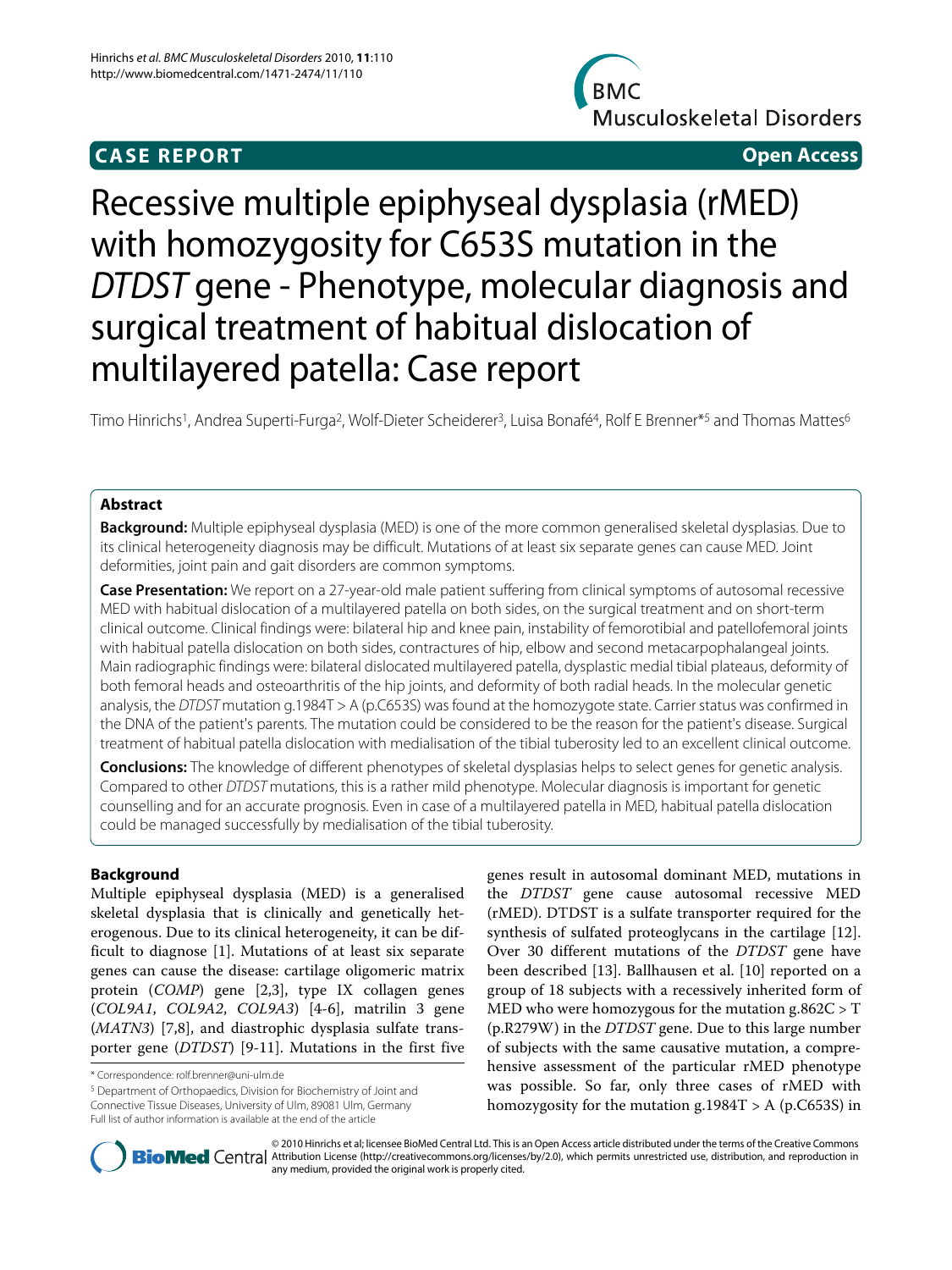# **CASE REPORT Open Access**



# Recessive multiple epiphyseal dysplasia (rMED) with homozygosity for C653S mutation in the DTDST gene - Phenotype, molecular diagnosis and surgical treatment of habitual dislocation of multilayered patella: Case report

Timo Hinrichs<sup>1</sup>, Andrea Superti-Furga<sup>2</sup>, Wolf-Dieter Scheiderer<sup>3</sup>, Luisa Bonafé<sup>4</sup>, Rolf E Brenner<sup>\*5</sup> and Thomas Mattes<sup>6</sup>

# **Abstract**

**Background:** Multiple epiphyseal dysplasia (MED) is one of the more common generalised skeletal dysplasias. Due to its clinical heterogeneity diagnosis may be difficult. Mutations of at least six separate genes can cause MED. Joint deformities, joint pain and gait disorders are common symptoms.

**Case Presentation:** We report on a 27-year-old male patient suffering from clinical symptoms of autosomal recessive MED with habitual dislocation of a multilayered patella on both sides, on the surgical treatment and on short-term clinical outcome. Clinical findings were: bilateral hip and knee pain, instability of femorotibial and patellofemoral joints with habitual patella dislocation on both sides, contractures of hip, elbow and second metacarpophalangeal joints. Main radiographic findings were: bilateral dislocated multilayered patella, dysplastic medial tibial plateaus, deformity of both femoral heads and osteoarthritis of the hip joints, and deformity of both radial heads. In the molecular genetic analysis, the DTDST mutation g.1984T > A (p.C653S) was found at the homozygote state. Carrier status was confirmed in the DNA of the patient's parents. The mutation could be considered to be the reason for the patient's disease. Surgical treatment of habitual patella dislocation with medialisation of the tibial tuberosity led to an excellent clinical outcome.

**Conclusions:** The knowledge of different phenotypes of skeletal dysplasias helps to select genes for genetic analysis. Compared to other DTDST mutations, this is a rather mild phenotype. Molecular diagnosis is important for genetic counselling and for an accurate prognosis. Even in case of a multilayered patella in MED, habitual patella dislocation could be managed successfully by medialisation of the tibial tuberosity.

# **Background**

Multiple epiphyseal dysplasia (MED) is a generalised skeletal dysplasia that is clinically and genetically heterogenous. Due to its clinical heterogeneity, it can be difficult to diagnose [\[1](#page-5-0)]. Mutations of at least six separate genes can cause the disease: cartilage oligomeric matrix protein (COMP) gene [[2,](#page-5-1)[3\]](#page-5-2), type IX collagen genes (COL9A1, COL9A2, COL9A3) [\[4](#page-5-3)-[6\]](#page-5-4), matrilin 3 gene (*MATN3*) [[7,](#page-5-5)[8\]](#page-5-6), and diastrophic dysplasia sulfate transporter gene (DTDST) [[9-](#page-5-7)[11](#page-5-8)]. Mutations in the first five

5 Department of Orthopaedics, Division for Biochemistry of Joint and Connective Tissue Diseases, University of Ulm, 89081 Ulm, Germany Full list of author information is available at the end of the article

genes result in autosomal dominant MED, mutations in the DTDST gene cause autosomal recessive MED (rMED). DTDST is a sulfate transporter required for the synthesis of sulfated proteoglycans in the cartilage [\[12](#page-5-9)]. Over 30 different mutations of the DTDST gene have been described [[13](#page-5-10)]. Ballhausen et al. [[10\]](#page-5-11) reported on a group of 18 subjects with a recessively inherited form of MED who were homozygous for the mutation  $g.862C > T$ (p.R279W) in the DTDST gene. Due to this large number of subjects with the same causative mutation, a comprehensive assessment of the particular rMED phenotype was possible. So far, only three cases of rMED with homozygosity for the mutation  $g.1984T > A$  (p.C653S) in



© 2010 Hinrichs et al; licensee BioMed Central Ltd. This is an Open Access article distributed under the terms of the Creative Commons **Bio Med** Central Attribution License (http://creativecommons.org/licenses/by/2.0), which permits unrestricted use, distribution, and reproduction in any medium, provided the original work is properly cited.

<sup>\*</sup> Correspondence: rolf.brenner@uni-ulm.de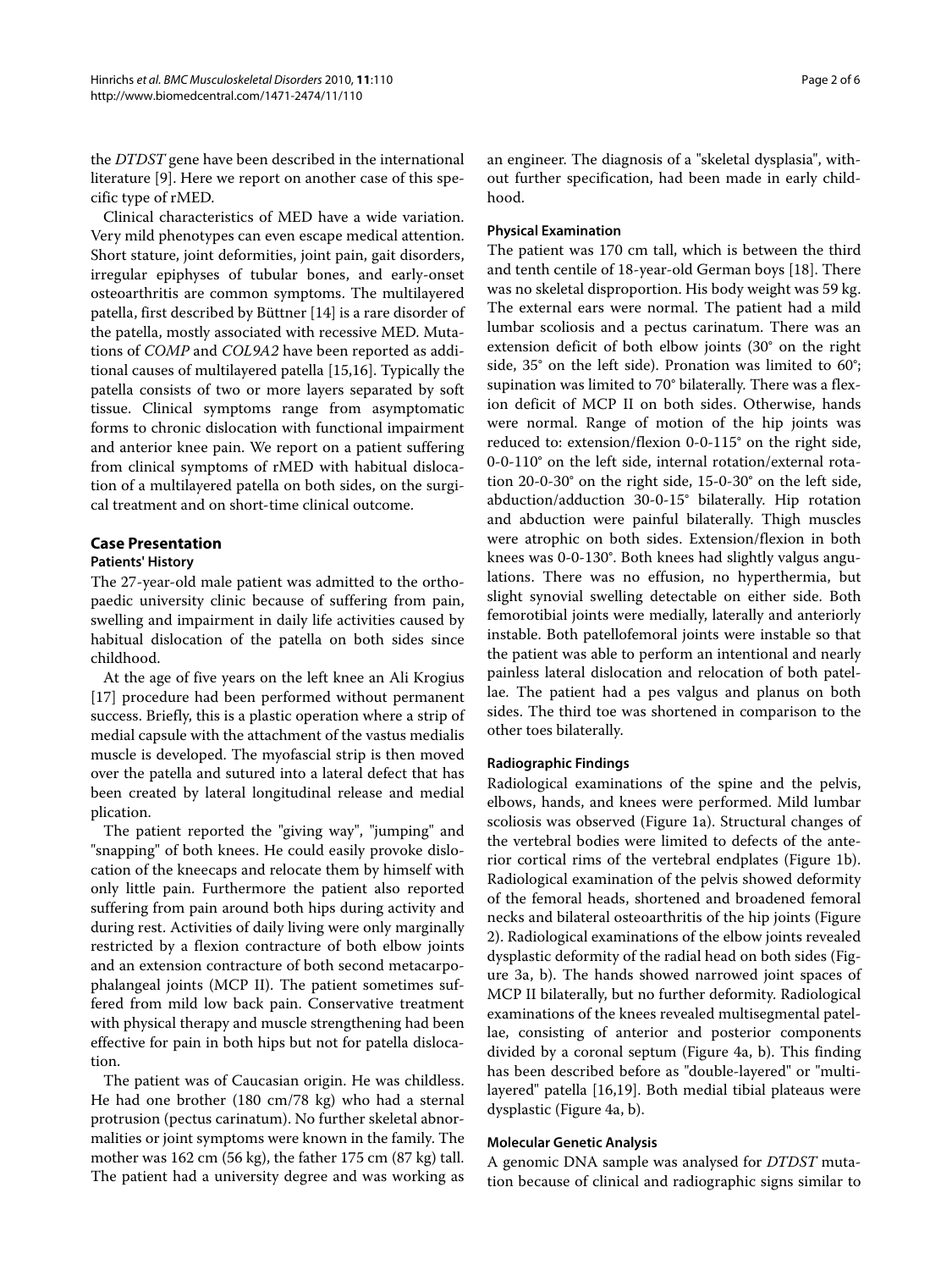the DTDST gene have been described in the international literature [[9\]](#page-5-7). Here we report on another case of this specific type of rMED.

Clinical characteristics of MED have a wide variation. Very mild phenotypes can even escape medical attention. Short stature, joint deformities, joint pain, gait disorders, irregular epiphyses of tubular bones, and early-onset osteoarthritis are common symptoms. The multilayered patella, first described by Büttner [\[14\]](#page-5-12) is a rare disorder of the patella, mostly associated with recessive MED. Mutations of COMP and COL9A2 have been reported as additional causes of multilayered patella [\[15](#page-5-13)[,16](#page-5-14)]. Typically the patella consists of two or more layers separated by soft tissue. Clinical symptoms range from asymptomatic forms to chronic dislocation with functional impairment and anterior knee pain. We report on a patient suffering from clinical symptoms of rMED with habitual dislocation of a multilayered patella on both sides, on the surgical treatment and on short-time clinical outcome.

# **Case Presentation**

# **Patients' History**

The 27-year-old male patient was admitted to the orthopaedic university clinic because of suffering from pain, swelling and impairment in daily life activities caused by habitual dislocation of the patella on both sides since childhood.

At the age of five years on the left knee an Ali Krogius [[17\]](#page-5-15) procedure had been performed without permanent success. Briefly, this is a plastic operation where a strip of medial capsule with the attachment of the vastus medialis muscle is developed. The myofascial strip is then moved over the patella and sutured into a lateral defect that has been created by lateral longitudinal release and medial plication.

The patient reported the "giving way", "jumping" and "snapping" of both knees. He could easily provoke dislocation of the kneecaps and relocate them by himself with only little pain. Furthermore the patient also reported suffering from pain around both hips during activity and during rest. Activities of daily living were only marginally restricted by a flexion contracture of both elbow joints and an extension contracture of both second metacarpophalangeal joints (MCP II). The patient sometimes suffered from mild low back pain. Conservative treatment with physical therapy and muscle strengthening had been effective for pain in both hips but not for patella dislocation.

The patient was of Caucasian origin. He was childless. He had one brother (180 cm/78 kg) who had a sternal protrusion (pectus carinatum). No further skeletal abnormalities or joint symptoms were known in the family. The mother was 162 cm (56 kg), the father 175 cm (87 kg) tall. The patient had a university degree and was working as

an engineer. The diagnosis of a "skeletal dysplasia", without further specification, had been made in early childhood.

# **Physical Examination**

The patient was 170 cm tall, which is between the third and tenth centile of 18-year-old German boys [\[18](#page-5-16)]. There was no skeletal disproportion. His body weight was 59 kg. The external ears were normal. The patient had a mild lumbar scoliosis and a pectus carinatum. There was an extension deficit of both elbow joints (30° on the right side, 35° on the left side). Pronation was limited to 60°; supination was limited to 70° bilaterally. There was a flexion deficit of MCP II on both sides. Otherwise, hands were normal. Range of motion of the hip joints was reduced to: extension/flexion 0-0-115° on the right side, 0-0-110° on the left side, internal rotation/external rotation 20-0-30° on the right side, 15-0-30° on the left side, abduction/adduction 30-0-15° bilaterally. Hip rotation and abduction were painful bilaterally. Thigh muscles were atrophic on both sides. Extension/flexion in both knees was 0-0-130°. Both knees had slightly valgus angulations. There was no effusion, no hyperthermia, but slight synovial swelling detectable on either side. Both femorotibial joints were medially, laterally and anteriorly instable. Both patellofemoral joints were instable so that the patient was able to perform an intentional and nearly painless lateral dislocation and relocation of both patellae. The patient had a pes valgus and planus on both sides. The third toe was shortened in comparison to the other toes bilaterally.

### **Radiographic Findings**

Radiological examinations of the spine and the pelvis, elbows, hands, and knees were performed. Mild lumbar scoliosis was observed (Figure [1a](#page-2-0)). Structural changes of the vertebral bodies were limited to defects of the anterior cortical rims of the vertebral endplates (Figure [1b](#page-2-0)). Radiological examination of the pelvis showed deformity of the femoral heads, shortened and broadened femoral necks and bilateral osteoarthritis of the hip joints (Figure [2\)](#page-2-1). Radiological examinations of the elbow joints revealed dysplastic deformity of the radial head on both sides (Figure [3a](#page-2-2), b). The hands showed narrowed joint spaces of MCP II bilaterally, but no further deformity. Radiological examinations of the knees revealed multisegmental patellae, consisting of anterior and posterior components divided by a coronal septum (Figure [4a](#page-2-3), b). This finding has been described before as "double-layered" or "multilayered" patella [[16,](#page-5-14)[19\]](#page-5-17). Both medial tibial plateaus were dysplastic (Figure [4a](#page-2-3), b).

### **Molecular Genetic Analysis**

A genomic DNA sample was analysed for DTDST mutation because of clinical and radiographic signs similar to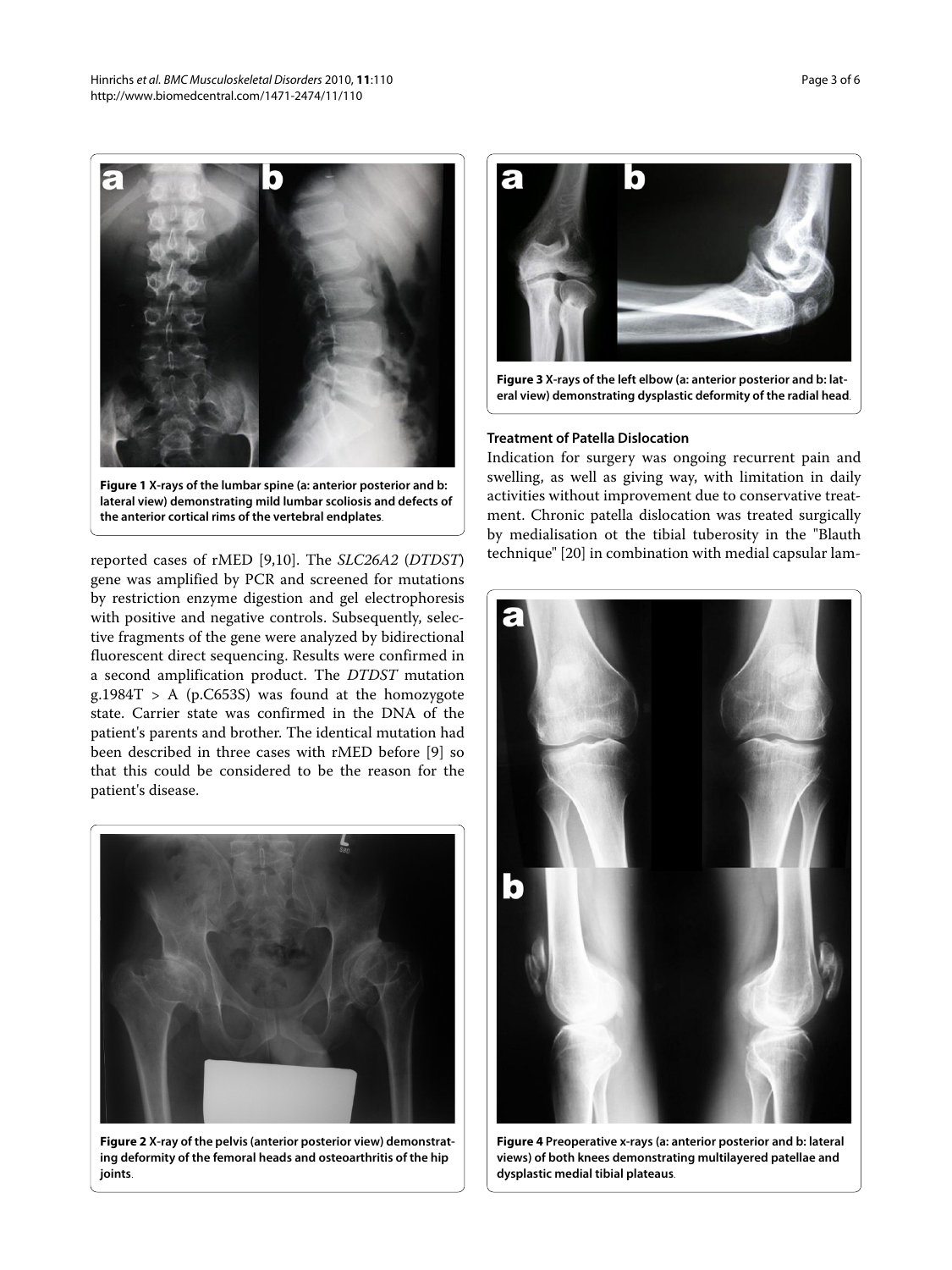<span id="page-2-0"></span>

**Figure 1 X-rays of the lumbar spine (a: anterior posterior and b: lateral view) demonstrating mild lumbar scoliosis and defects of the anterior cortical rims of the vertebral endplates**.

reported cases of rMED [\[9](#page-5-7)[,10](#page-5-11)]. The SLC26A2 (DTDST) gene was amplified by PCR and screened for mutations by restriction enzyme digestion and gel electrophoresis with positive and negative controls. Subsequently, selective fragments of the gene were analyzed by bidirectional fluorescent direct sequencing. Results were confirmed in a second amplification product. The DTDST mutation g.1984 $T > A$  (p.C653S) was found at the homozygote state. Carrier state was confirmed in the DNA of the patient's parents and brother. The identical mutation had been described in three cases with rMED before [[9\]](#page-5-7) so that this could be considered to be the reason for the patient's disease.

<span id="page-2-1"></span>

**Figure 2 X-ray of the pelvis (anterior posterior view) demonstrating deformity of the femoral heads and osteoarthritis of the hip joints**.

<span id="page-2-2"></span>

**Figure 3 X-rays of the left elbow (a: anterior posterior and b: lateral view) demonstrating dysplastic deformity of the radial head**.

### **Treatment of Patella Dislocation**

Indication for surgery was ongoing recurrent pain and swelling, as well as giving way, with limitation in daily activities without improvement due to conservative treatment. Chronic patella dislocation was treated surgically by medialisation ot the tibial tuberosity in the "Blauth technique" [[20](#page-5-18)] in combination with medial capsular lam-

<span id="page-2-3"></span>

**Figure 4 Preoperative x-rays (a: anterior posterior and b: lateral views) of both knees demonstrating multilayered patellae and dysplastic medial tibial plateaus**.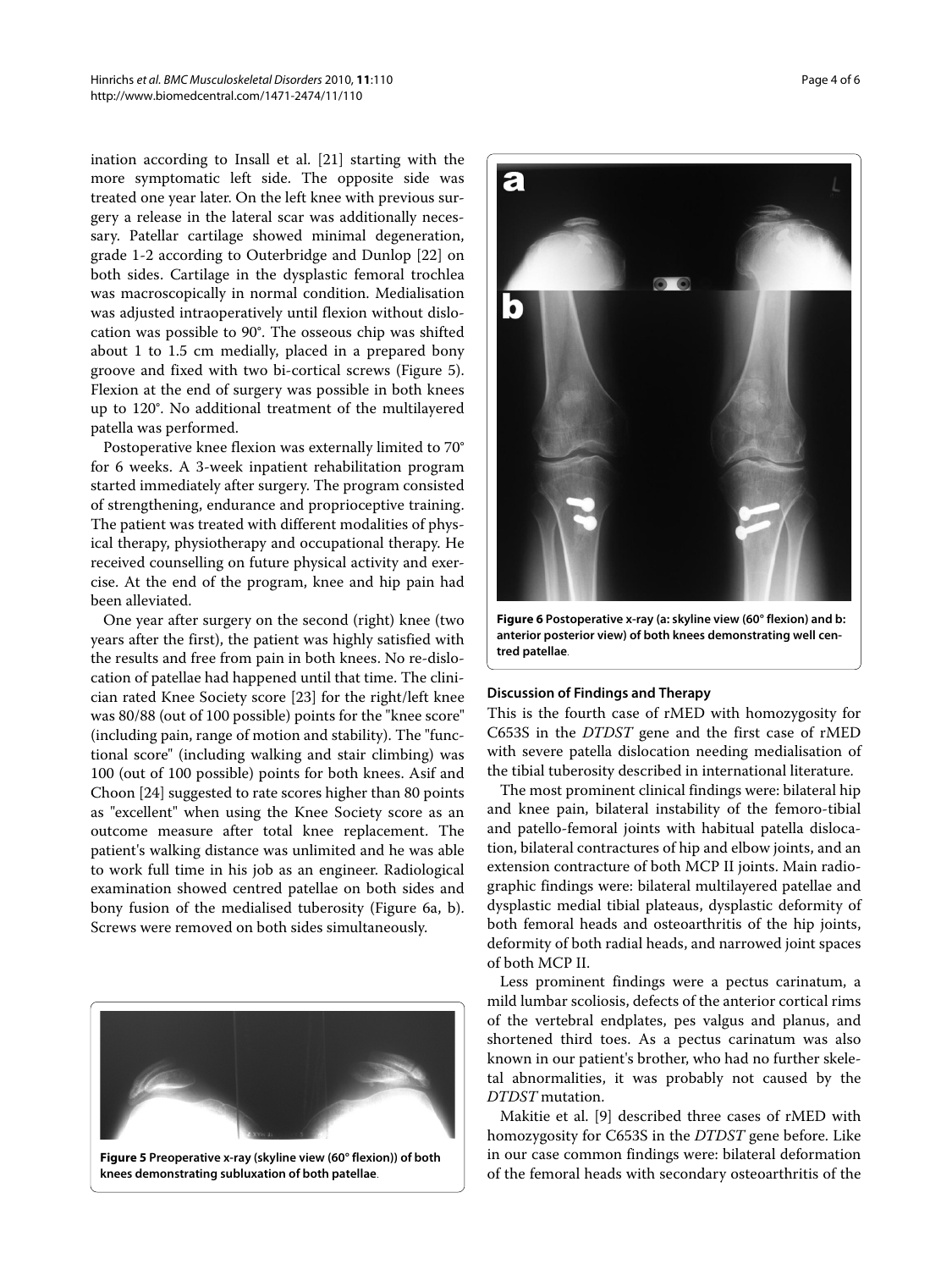ination according to Insall et al. [[21\]](#page-5-19) starting with the more symptomatic left side. The opposite side was treated one year later. On the left knee with previous surgery a release in the lateral scar was additionally necessary. Patellar cartilage showed minimal degeneration, grade 1-2 according to Outerbridge and Dunlop [[22\]](#page-5-20) on both sides. Cartilage in the dysplastic femoral trochlea was macroscopically in normal condition. Medialisation was adjusted intraoperatively until flexion without dislocation was possible to 90°. The osseous chip was shifted about 1 to 1.5 cm medially, placed in a prepared bony groove and fixed with two bi-cortical screws (Figure [5](#page-3-0)). Flexion at the end of surgery was possible in both knees up to 120°. No additional treatment of the multilayered patella was performed.

Postoperative knee flexion was externally limited to 70° for 6 weeks. A 3-week inpatient rehabilitation program started immediately after surgery. The program consisted of strengthening, endurance and proprioceptive training. The patient was treated with different modalities of physical therapy, physiotherapy and occupational therapy. He received counselling on future physical activity and exercise. At the end of the program, knee and hip pain had been alleviated.

One year after surgery on the second (right) knee (two years after the first), the patient was highly satisfied with the results and free from pain in both knees. No re-dislocation of patellae had happened until that time. The clinician rated Knee Society score [\[23\]](#page-5-21) for the right/left knee was 80/88 (out of 100 possible) points for the "knee score" (including pain, range of motion and stability). The "functional score" (including walking and stair climbing) was 100 (out of 100 possible) points for both knees. Asif and Choon [\[24\]](#page-5-22) suggested to rate scores higher than 80 points as "excellent" when using the Knee Society score as an outcome measure after total knee replacement. The patient's walking distance was unlimited and he was able to work full time in his job as an engineer. Radiological examination showed centred patellae on both sides and bony fusion of the medialised tuberosity (Figure [6](#page-3-1)a, b). Screws were removed on both sides simultaneously.

<span id="page-3-0"></span>

**Figure 5 Preoperative x-ray (skyline view (60° flexion)) of both knees demonstrating subluxation of both patellae**.

<span id="page-3-1"></span>

**Figure 6 Postoperative x-ray (a: skyline view (60° flexion) and b: anterior posterior view) of both knees demonstrating well centred patellae**.

# **Discussion of Findings and Therapy**

This is the fourth case of rMED with homozygosity for C653S in the DTDST gene and the first case of rMED with severe patella dislocation needing medialisation of the tibial tuberosity described in international literature.

The most prominent clinical findings were: bilateral hip and knee pain, bilateral instability of the femoro-tibial and patello-femoral joints with habitual patella dislocation, bilateral contractures of hip and elbow joints, and an extension contracture of both MCP II joints. Main radiographic findings were: bilateral multilayered patellae and dysplastic medial tibial plateaus, dysplastic deformity of both femoral heads and osteoarthritis of the hip joints, deformity of both radial heads, and narrowed joint spaces of both MCP II.

Less prominent findings were a pectus carinatum, a mild lumbar scoliosis, defects of the anterior cortical rims of the vertebral endplates, pes valgus and planus, and shortened third toes. As a pectus carinatum was also known in our patient's brother, who had no further skeletal abnormalities, it was probably not caused by the DTDST mutation.

Makitie et al. [[9\]](#page-5-7) described three cases of rMED with homozygosity for C653S in the DTDST gene before. Like in our case common findings were: bilateral deformation of the femoral heads with secondary osteoarthritis of the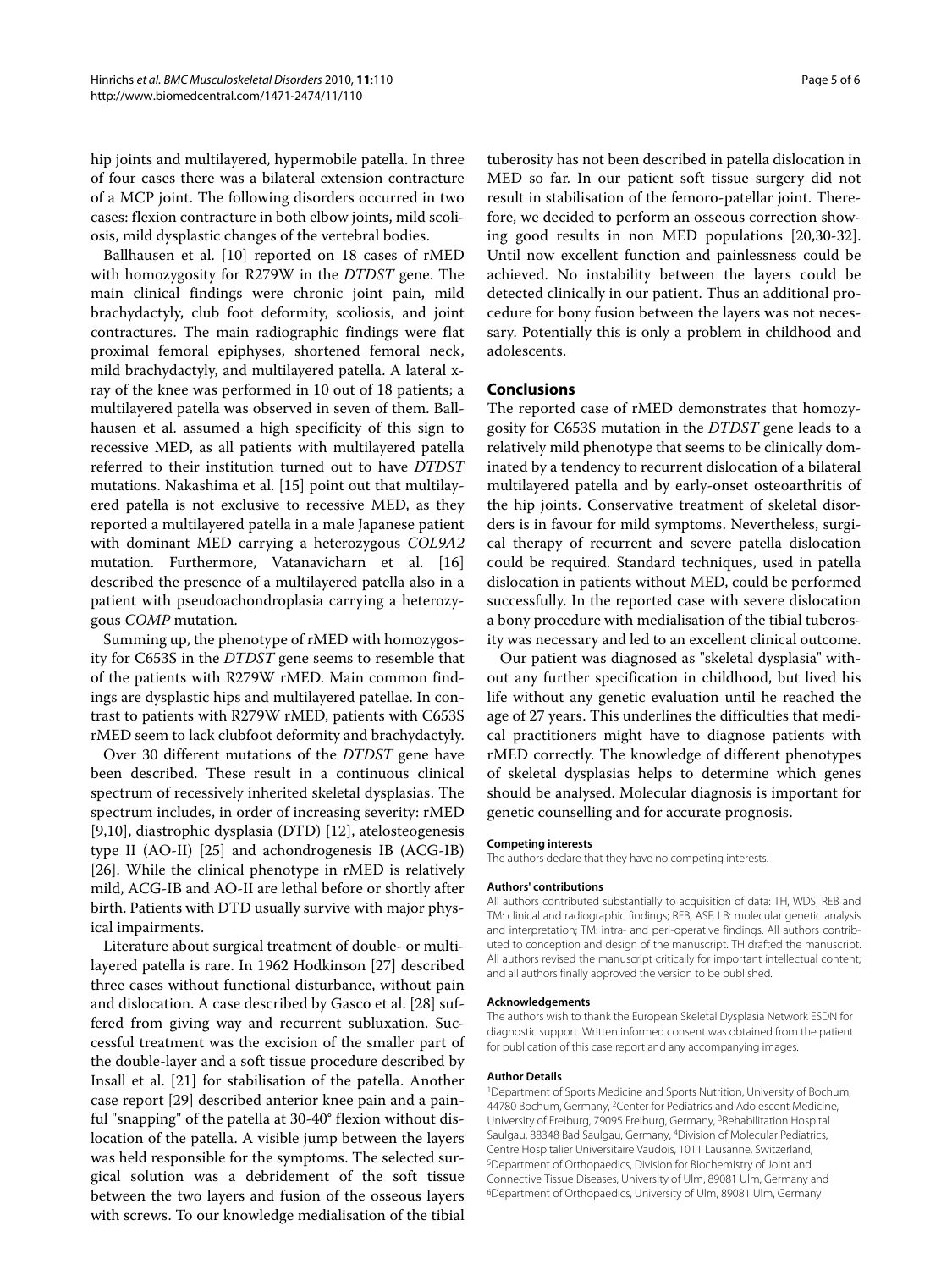hip joints and multilayered, hypermobile patella. In three of four cases there was a bilateral extension contracture of a MCP joint. The following disorders occurred in two cases: flexion contracture in both elbow joints, mild scoliosis, mild dysplastic changes of the vertebral bodies.

Ballhausen et al. [[10\]](#page-5-11) reported on 18 cases of rMED with homozygosity for R279W in the DTDST gene. The main clinical findings were chronic joint pain, mild brachydactyly, club foot deformity, scoliosis, and joint contractures. The main radiographic findings were flat proximal femoral epiphyses, shortened femoral neck, mild brachydactyly, and multilayered patella. A lateral xray of the knee was performed in 10 out of 18 patients; a multilayered patella was observed in seven of them. Ballhausen et al. assumed a high specificity of this sign to recessive MED, as all patients with multilayered patella referred to their institution turned out to have DTDST mutations. Nakashima et al. [[15\]](#page-5-13) point out that multilayered patella is not exclusive to recessive MED, as they reported a multilayered patella in a male Japanese patient with dominant MED carrying a heterozygous COL9A2 mutation. Furthermore, Vatanavicharn et al. [[16](#page-5-14)] described the presence of a multilayered patella also in a patient with pseudoachondroplasia carrying a heterozygous COMP mutation.

Summing up, the phenotype of rMED with homozygosity for C653S in the DTDST gene seems to resemble that of the patients with R279W rMED. Main common findings are dysplastic hips and multilayered patellae. In contrast to patients with R279W rMED, patients with C653S rMED seem to lack clubfoot deformity and brachydactyly.

Over 30 different mutations of the DTDST gene have been described. These result in a continuous clinical spectrum of recessively inherited skeletal dysplasias. The spectrum includes, in order of increasing severity: rMED [[9,](#page-5-7)[10\]](#page-5-11), diastrophic dysplasia (DTD) [[12\]](#page-5-9), atelosteogenesis type II (AO-II) [[25\]](#page-5-23) and achondrogenesis IB (ACG-IB) [[26\]](#page-5-24). While the clinical phenotype in rMED is relatively mild, ACG-IB and AO-II are lethal before or shortly after birth. Patients with DTD usually survive with major physical impairments.

Literature about surgical treatment of double- or multilayered patella is rare. In 1962 Hodkinson [[27\]](#page-5-25) described three cases without functional disturbance, without pain and dislocation. A case described by Gasco et al. [\[28](#page-5-26)] suffered from giving way and recurrent subluxation. Successful treatment was the excision of the smaller part of the double-layer and a soft tissue procedure described by Insall et al. [[21\]](#page-5-19) for stabilisation of the patella. Another case report [\[29](#page-5-27)] described anterior knee pain and a painful "snapping" of the patella at 30-40° flexion without dislocation of the patella. A visible jump between the layers was held responsible for the symptoms. The selected surgical solution was a debridement of the soft tissue between the two layers and fusion of the osseous layers with screws. To our knowledge medialisation of the tibial

tuberosity has not been described in patella dislocation in MED so far. In our patient soft tissue surgery did not result in stabilisation of the femoro-patellar joint. Therefore, we decided to perform an osseous correction showing good results in non MED populations [[20,](#page-5-18)[30](#page-5-28)[-32](#page-5-29)]. Until now excellent function and painlessness could be achieved. No instability between the layers could be detected clinically in our patient. Thus an additional procedure for bony fusion between the layers was not necessary. Potentially this is only a problem in childhood and adolescents.

### **Conclusions**

The reported case of rMED demonstrates that homozygosity for C653S mutation in the DTDST gene leads to a relatively mild phenotype that seems to be clinically dominated by a tendency to recurrent dislocation of a bilateral multilayered patella and by early-onset osteoarthritis of the hip joints. Conservative treatment of skeletal disorders is in favour for mild symptoms. Nevertheless, surgical therapy of recurrent and severe patella dislocation could be required. Standard techniques, used in patella dislocation in patients without MED, could be performed successfully. In the reported case with severe dislocation a bony procedure with medialisation of the tibial tuberosity was necessary and led to an excellent clinical outcome.

Our patient was diagnosed as "skeletal dysplasia" without any further specification in childhood, but lived his life without any genetic evaluation until he reached the age of 27 years. This underlines the difficulties that medical practitioners might have to diagnose patients with rMED correctly. The knowledge of different phenotypes of skeletal dysplasias helps to determine which genes should be analysed. Molecular diagnosis is important for genetic counselling and for accurate prognosis.

#### **Competing interests**

The authors declare that they have no competing interests.

#### **Authors' contributions**

All authors contributed substantially to acquisition of data: TH, WDS, REB and TM: clinical and radiographic findings; REB, ASF, LB: molecular genetic analysis and interpretation; TM: intra- and peri-operative findings. All authors contributed to conception and design of the manuscript. TH drafted the manuscript. All authors revised the manuscript critically for important intellectual content; and all authors finally approved the version to be published.

#### **Acknowledgements**

The authors wish to thank the European Skeletal Dysplasia Network ESDN for diagnostic support. Written informed consent was obtained from the patient for publication of this case report and any accompanying images.

#### **Author Details**

1Department of Sports Medicine and Sports Nutrition, University of Bochum, 44780 Bochum, Germany, 2Center for Pediatrics and Adolescent Medicine, University of Freiburg, 79095 Freiburg, Germany, 3Rehabilitation Hospital Saulgau, 88348 Bad Saulgau, Germany, 4Division of Molecular Pediatrics, Centre Hospitalier Universitaire Vaudois, 1011 Lausanne, Switzerland, 5Department of Orthopaedics, Division for Biochemistry of Joint and Connective Tissue Diseases, University of Ulm, 89081 Ulm, Germany and 6Department of Orthopaedics, University of Ulm, 89081 Ulm, Germany